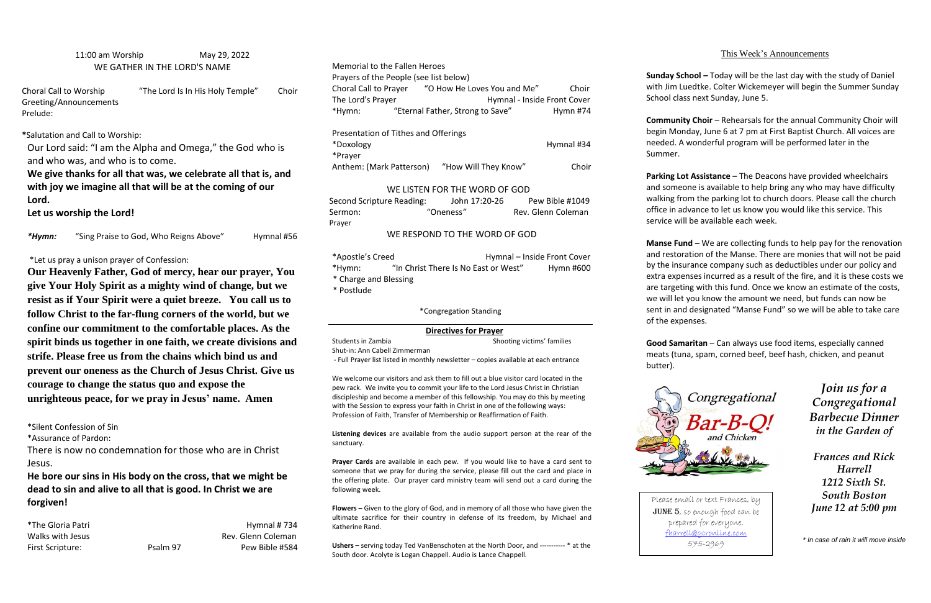11:00 am Worship May 29, 2022 WE GATHER IN THE LORD'S NAME

Choral Call to Worship "The Lord Is In His Holy Temple" Choir Greeting/Announcements Prelude:

**\***Salutation and Call to Worship:

Our Lord said: "I am the Alpha and Omega," the God who is and who was, and who is to come.

**We give thanks for all that was, we celebrate all that is, and with joy we imagine all that will be at the coming of our Lord.** 

**Let us worship the Lord!**

\*Hymn: "Sing Praise to God, Who Reigns Above" Hymnal #56

\*Let us pray a unison prayer of Confession:

**Our Heavenly Father, God of mercy, hear our prayer, You give Your Holy Spirit as a mighty wind of change, but we resist as if Your Spirit were a quiet breeze. You call us to follow Christ to the far-flung corners of the world, but we confine our commitment to the comfortable places. As the spirit binds us together in one faith, we create divisions and strife. Please free us from the chains which bind us and prevent our oneness as the Church of Jesus Christ. Give us courage to change the status quo and expose the unrighteous peace, for we pray in Jesus' name. Amen**

| Second Scripture Reading: | John 17:20-26 | Pew Bible #1049    |
|---------------------------|---------------|--------------------|
| Sermon:                   | "Oneness"     | Rev. Glenn Coleman |
| Prayer                    |               |                    |

\*Silent Confession of Sin

\*Assurance of Pardon:

There is now no condemnation for those who are in Christ Jesus.

**He bore our sins in His body on the cross, that we might be dead to sin and alive to all that is good. In Christ we are forgiven!**

\*The Gloria Patri **Hymnal # 734** Walks with Jesus **Rev. Glenn Coleman** First Scripture: Psalm 97 Pew Bible #584 Memorial to the Fallen Heroes

Prayers of the People (see list below)

| <b>I</b> TUYCIS OF THE FEODIC 1966 HST DEIOW I |  |                             |            |  |
|------------------------------------------------|--|-----------------------------|------------|--|
| Choral Call to Prayer                          |  | "O How He Loves You and Me" | Choir      |  |
| The Lord's Prayer                              |  | Hymnal - Inside Front Cover |            |  |
| "Eternal Father, Strong to Save"<br>*Hymn:     |  |                             | Hymn $#74$ |  |
| Presentation of Tithes and Offerings           |  |                             |            |  |
| *Doxology                                      |  |                             | Hymnal #34 |  |
| *Prayer                                        |  |                             |            |  |
| Anthem: (Mark Patterson)                       |  | "How Will They Know"        | Choir      |  |
|                                                |  |                             |            |  |

### WE LISTEN FOR THE WORD OF GOD

### WE RESPOND TO THE WORD OF GOD

| *Apostle's Creed      |                                      | Hymnal - Inside Front Cover |           |  |
|-----------------------|--------------------------------------|-----------------------------|-----------|--|
| *Hymn:                | "In Christ There Is No East or West" |                             | Hymn #600 |  |
| * Charge and Blessing |                                      |                             |           |  |
| * Postlude            |                                      |                             |           |  |

\*Congregation Standing

## **Directives for Prayer**

Students in Zambia Shooting victims' families

Shut-in: Ann Cabell Zimmerman

- Full Prayer list listed in monthly newsletter – copies available at each entrance

**Manse Fund –** We are collecting funds to help pay for the renovation and restoration of the Manse. There are monies that will not be paid by the insurance company such as deductibles under our policy and extra expenses incurred as a result of the fire, and it is these costs we are targeting with this fund. Once we know an estimate of the costs, we will let you know the amount we need, but funds can now be sent in and designated "Manse Fund" so we will be able to take care of the expenses.

We welcome our visitors and ask them to fill out a blue visitor card located in the pew rack. We invite you to commit your life to the Lord Jesus Christ in Christian discipleship and become a member of this fellowship. You may do this by meeting with the Session to express your faith in Christ in one of the following ways: Profession of Faith, Transfer of Membership or Reaffirmation of Faith.

**Listening devices** are available from the audio support person at the rear of the sanctuary.

**Prayer Cards** are available in each pew. If you would like to have a card sent to someone that we pray for during the service, please fill out the card and place in the offering plate. Our prayer card ministry team will send out a card during the following week.

**Flowers –** Given to the glory of God, and in memory of all those who have given the ultimate sacrifice for their country in defense of its freedom, by Michael and Katherine Rand.

**Ushers** – serving today Ted VanBenschoten at the North Door, and ----------- \* at the South door. Acolyte is Logan Chappell. Audio is Lance Chappell.

## This Week's Announcements

**Sunday School –** Today will be the last day with the study of Daniel with Jim Luedtke. Colter Wickemeyer will begin the Summer Sunday School class next Sunday, June 5.

**Community Choir** – Rehearsals for the annual Community Choir will begin Monday, June 6 at 7 pm at First Baptist Church. All voices are needed. A wonderful program will be performed later in the Summer.

**Parking Lot Assistance –** The Deacons have provided wheelchairs and someone is available to help bring any who may have difficulty walking from the parking lot to church doors. Please call the church office in advance to let us know you would like this service. This service will be available each week.

**Good Samaritan** – Can always use food items, especially canned meats (tuna, spam, corned beef, beef hash, chicken, and peanut

# butter).



*Join us for a Congregational Barbecue Dinner in the Garden of* 

*Frances and Rick Harrell 1212 Sixth St. South Boston June 12 at 5:00 pm*

*\* In case of rain it will move inside*

Please email or text Frances, by JUNE 5, so enough food can be prepared for everyone. [fharrell@gcronline.com](mailto:fharrell@gcronline.com) 575-2969